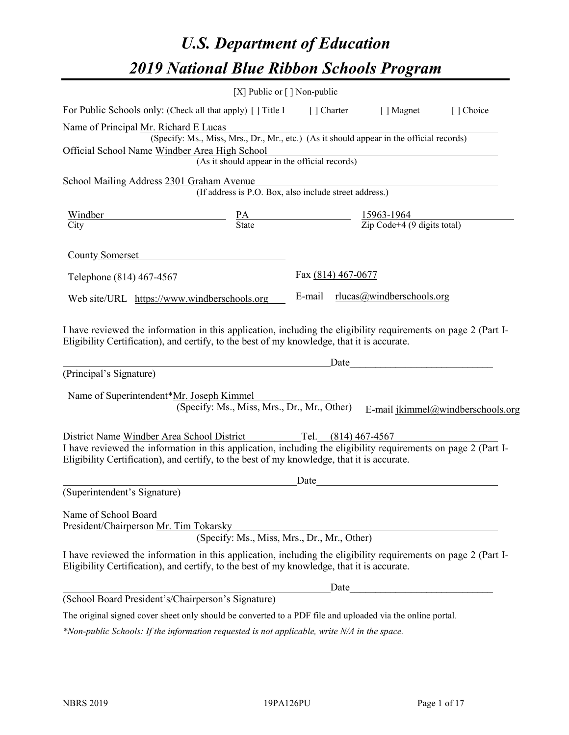# *U.S. Department of Education 2019 National Blue Ribbon Schools Program*

|                                                                                                                                                                                                              | [X] Public or $\lceil$ ] Non-public                                                      |                                                                     |                           |                                   |
|--------------------------------------------------------------------------------------------------------------------------------------------------------------------------------------------------------------|------------------------------------------------------------------------------------------|---------------------------------------------------------------------|---------------------------|-----------------------------------|
| For Public Schools only: (Check all that apply) [] Title I                                                                                                                                                   |                                                                                          | [ ] Charter                                                         | [ ] Magnet                | [] Choice                         |
| Name of Principal Mr. Richard E Lucas                                                                                                                                                                        |                                                                                          |                                                                     |                           |                                   |
|                                                                                                                                                                                                              | (Specify: Ms., Miss, Mrs., Dr., Mr., etc.) (As it should appear in the official records) |                                                                     |                           |                                   |
| Official School Name Windber Area High School                                                                                                                                                                |                                                                                          |                                                                     |                           |                                   |
|                                                                                                                                                                                                              | (As it should appear in the official records)                                            |                                                                     |                           |                                   |
| School Mailing Address 2301 Graham Avenue                                                                                                                                                                    |                                                                                          |                                                                     |                           |                                   |
|                                                                                                                                                                                                              | (If address is P.O. Box, also include street address.)                                   |                                                                     |                           |                                   |
| <u>Windber</u>                                                                                                                                                                                               |                                                                                          | $\frac{PA}{State}$ $\frac{15963-1964}{Zip Code+4 (9 digits total)}$ |                           |                                   |
| City                                                                                                                                                                                                         |                                                                                          |                                                                     |                           |                                   |
| County Somerset                                                                                                                                                                                              |                                                                                          |                                                                     |                           |                                   |
| Telephone (814) 467-4567                                                                                                                                                                                     |                                                                                          | Fax (814) 467-0677                                                  |                           |                                   |
| Web site/URL https://www.windberschools.org                                                                                                                                                                  |                                                                                          | E-mail                                                              | rlucas@windberschools.org |                                   |
| (Principal's Signature)<br>Name of Superintendent*Mr. Joseph Kimmel                                                                                                                                          | (Specify: Ms., Miss, Mrs., Dr., Mr., Other)                                              |                                                                     |                           | E-mail jkimmel@windberschools.org |
| District Name Windber Area School District                                                                                                                                                                   |                                                                                          | Tel. (814) 467-4567                                                 |                           |                                   |
| I have reviewed the information in this application, including the eligibility requirements on page 2 (Part I-<br>Eligibility Certification), and certify, to the best of my knowledge, that it is accurate. |                                                                                          |                                                                     |                           |                                   |
|                                                                                                                                                                                                              |                                                                                          | Date                                                                |                           |                                   |
| (Superintendent's Signature)                                                                                                                                                                                 |                                                                                          |                                                                     |                           |                                   |
| Name of School Board<br>President/Chairperson Mr. Tim Tokarsky                                                                                                                                               | (Specify: Ms., Miss, Mrs., Dr., Mr., Other)                                              |                                                                     |                           |                                   |
| I have reviewed the information in this application, including the eligibility requirements on page 2 (Part I-<br>Eligibility Certification), and certify, to the best of my knowledge, that it is accurate. |                                                                                          |                                                                     |                           |                                   |
|                                                                                                                                                                                                              |                                                                                          | Date                                                                |                           |                                   |
| (School Board President's/Chairperson's Signature)                                                                                                                                                           |                                                                                          |                                                                     |                           |                                   |
| The original signed cover sheet only should be converted to a PDF file and uploaded via the online portal.                                                                                                   |                                                                                          |                                                                     |                           |                                   |

*\*Non-public Schools: If the information requested is not applicable, write N/A in the space.*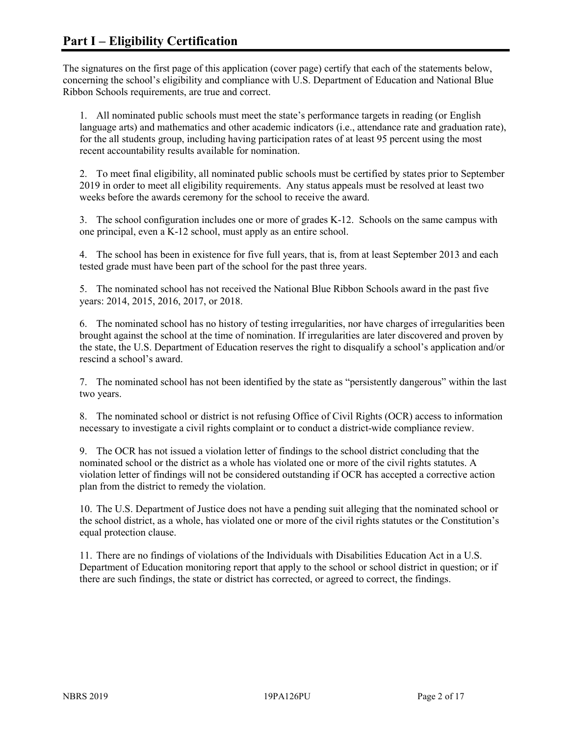The signatures on the first page of this application (cover page) certify that each of the statements below, concerning the school's eligibility and compliance with U.S. Department of Education and National Blue Ribbon Schools requirements, are true and correct.

1. All nominated public schools must meet the state's performance targets in reading (or English language arts) and mathematics and other academic indicators (i.e., attendance rate and graduation rate), for the all students group, including having participation rates of at least 95 percent using the most recent accountability results available for nomination.

2. To meet final eligibility, all nominated public schools must be certified by states prior to September 2019 in order to meet all eligibility requirements. Any status appeals must be resolved at least two weeks before the awards ceremony for the school to receive the award.

3. The school configuration includes one or more of grades K-12. Schools on the same campus with one principal, even a K-12 school, must apply as an entire school.

4. The school has been in existence for five full years, that is, from at least September 2013 and each tested grade must have been part of the school for the past three years.

5. The nominated school has not received the National Blue Ribbon Schools award in the past five years: 2014, 2015, 2016, 2017, or 2018.

6. The nominated school has no history of testing irregularities, nor have charges of irregularities been brought against the school at the time of nomination. If irregularities are later discovered and proven by the state, the U.S. Department of Education reserves the right to disqualify a school's application and/or rescind a school's award.

7. The nominated school has not been identified by the state as "persistently dangerous" within the last two years.

8. The nominated school or district is not refusing Office of Civil Rights (OCR) access to information necessary to investigate a civil rights complaint or to conduct a district-wide compliance review.

9. The OCR has not issued a violation letter of findings to the school district concluding that the nominated school or the district as a whole has violated one or more of the civil rights statutes. A violation letter of findings will not be considered outstanding if OCR has accepted a corrective action plan from the district to remedy the violation.

10. The U.S. Department of Justice does not have a pending suit alleging that the nominated school or the school district, as a whole, has violated one or more of the civil rights statutes or the Constitution's equal protection clause.

11. There are no findings of violations of the Individuals with Disabilities Education Act in a U.S. Department of Education monitoring report that apply to the school or school district in question; or if there are such findings, the state or district has corrected, or agreed to correct, the findings.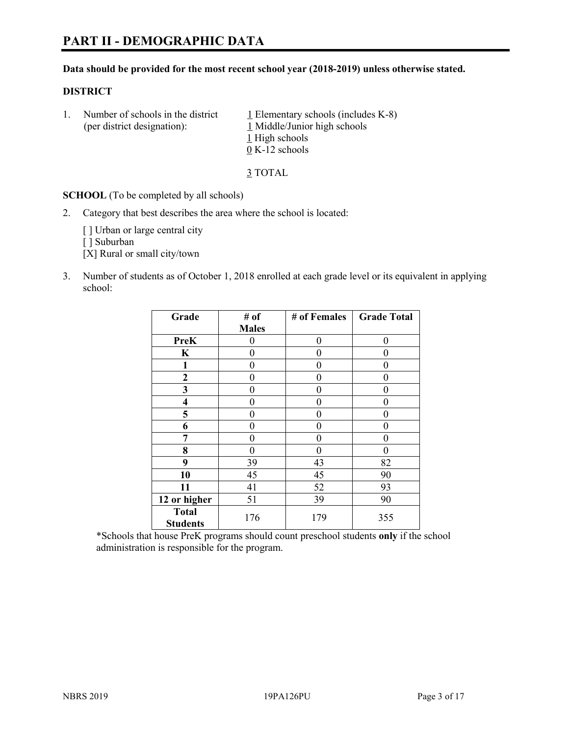# **PART II - DEMOGRAPHIC DATA**

#### **Data should be provided for the most recent school year (2018-2019) unless otherwise stated.**

#### **DISTRICT**

1. Number of schools in the district  $1$  Elementary schools (includes K-8) (per district designation): 1 Middle/Junior high schools 1 High schools 0 K-12 schools

3 TOTAL

**SCHOOL** (To be completed by all schools)

2. Category that best describes the area where the school is located:

[ ] Urban or large central city

[ ] Suburban

[X] Rural or small city/town

3. Number of students as of October 1, 2018 enrolled at each grade level or its equivalent in applying school:

| Grade                           | # of         | # of Females | <b>Grade Total</b> |
|---------------------------------|--------------|--------------|--------------------|
|                                 | <b>Males</b> |              |                    |
| <b>PreK</b>                     | 0            | $\theta$     | 0                  |
| $\mathbf K$                     | 0            | 0            | 0                  |
| 1                               | 0            | 0            | 0                  |
| 2                               | 0            | 0            | 0                  |
| 3                               | 0            | 0            | 0                  |
| $\overline{\mathbf{4}}$         | 0            | 0            | 0                  |
| 5                               | 0            | 0            | 0                  |
| 6                               | 0            | 0            | 0                  |
| 7                               | 0            | $\theta$     | 0                  |
| 8                               | 0            | 0            | 0                  |
| 9                               | 39           | 43           | 82                 |
| 10                              | 45           | 45           | 90                 |
| 11                              | 41           | 52           | 93                 |
| 12 or higher                    | 51           | 39           | 90                 |
| <b>Total</b><br><b>Students</b> | 176          | 179          | 355                |

\*Schools that house PreK programs should count preschool students **only** if the school administration is responsible for the program.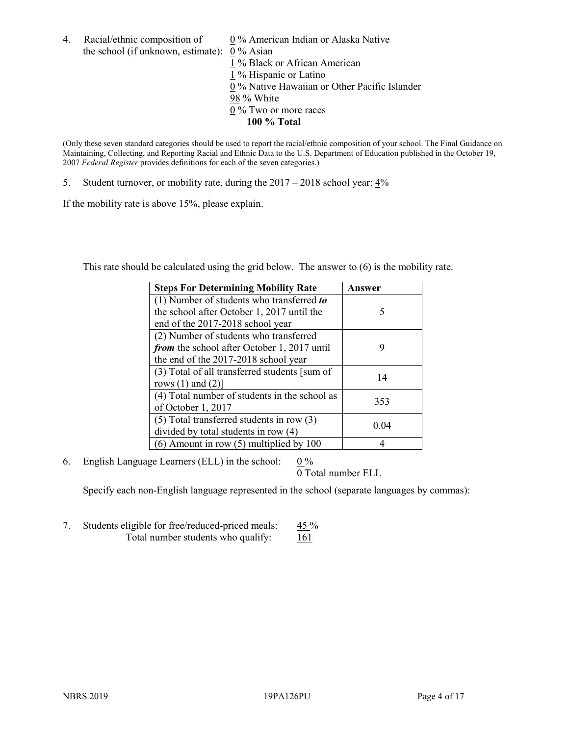4. Racial/ethnic composition of  $0\%$  American Indian or Alaska Native the school (if unknown, estimate): 0 % Asian

 % Black or African American % Hispanic or Latino % Native Hawaiian or Other Pacific Islander 98 % White % Two or more races **100 % Total**

(Only these seven standard categories should be used to report the racial/ethnic composition of your school. The Final Guidance on Maintaining, Collecting, and Reporting Racial and Ethnic Data to the U.S. Department of Education published in the October 19, 2007 *Federal Register* provides definitions for each of the seven categories.)

5. Student turnover, or mobility rate, during the 2017 – 2018 school year: 4%

If the mobility rate is above 15%, please explain.

This rate should be calculated using the grid below. The answer to (6) is the mobility rate.

| <b>Steps For Determining Mobility Rate</b>    | Answer |
|-----------------------------------------------|--------|
| (1) Number of students who transferred to     |        |
| the school after October 1, 2017 until the    | 5      |
| end of the 2017-2018 school year              |        |
| (2) Number of students who transferred        |        |
| from the school after October 1, 2017 until   | 9      |
| the end of the 2017-2018 school year          |        |
| (3) Total of all transferred students [sum of | 14     |
| rows $(1)$ and $(2)$ ]                        |        |
| (4) Total number of students in the school as | 353    |
| of October 1, 2017                            |        |
| $(5)$ Total transferred students in row $(3)$ | 0.04   |
| divided by total students in row (4)          |        |
| $(6)$ Amount in row $(5)$ multiplied by 100   |        |

6. English Language Learners (ELL) in the school:  $0\%$ 

0 Total number ELL

Specify each non-English language represented in the school (separate languages by commas):

7. Students eligible for free/reduced-priced meals: 45 % Total number students who qualify:  $161$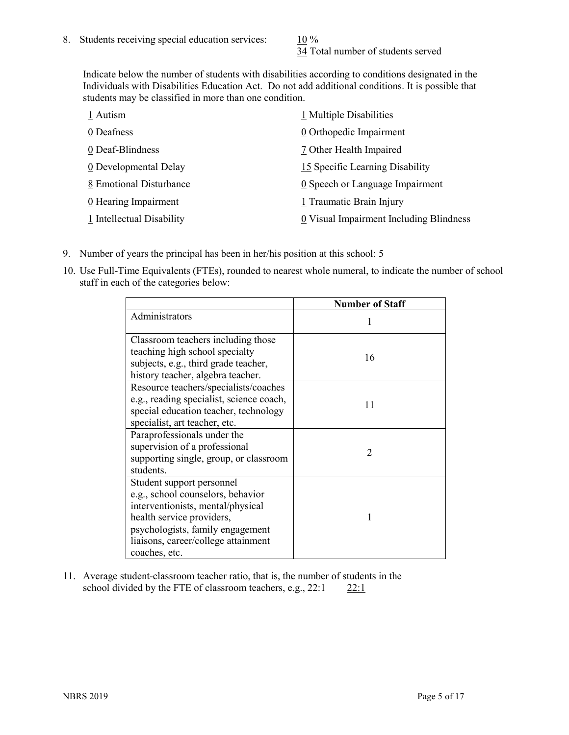34 Total number of students served

Indicate below the number of students with disabilities according to conditions designated in the Individuals with Disabilities Education Act. Do not add additional conditions. It is possible that students may be classified in more than one condition.

| 1 Autism                  | 1 Multiple Disabilities                 |
|---------------------------|-----------------------------------------|
| 0 Deafness                | 0 Orthopedic Impairment                 |
| 0 Deaf-Blindness          | 7 Other Health Impaired                 |
| 0 Developmental Delay     | 15 Specific Learning Disability         |
| 8 Emotional Disturbance   | 0 Speech or Language Impairment         |
| 0 Hearing Impairment      | 1 Traumatic Brain Injury                |
| 1 Intellectual Disability | 0 Visual Impairment Including Blindness |

- 9. Number of years the principal has been in her/his position at this school:  $5$
- 10. Use Full-Time Equivalents (FTEs), rounded to nearest whole numeral, to indicate the number of school staff in each of the categories below:

|                                                                                                                                                                                                                              | <b>Number of Staff</b> |
|------------------------------------------------------------------------------------------------------------------------------------------------------------------------------------------------------------------------------|------------------------|
| Administrators                                                                                                                                                                                                               |                        |
| Classroom teachers including those<br>teaching high school specialty<br>subjects, e.g., third grade teacher,<br>history teacher, algebra teacher.                                                                            | 16                     |
| Resource teachers/specialists/coaches<br>e.g., reading specialist, science coach,<br>special education teacher, technology<br>specialist, art teacher, etc.                                                                  | 11                     |
| Paraprofessionals under the<br>supervision of a professional<br>supporting single, group, or classroom<br>students.                                                                                                          | $\mathfrak{D}$         |
| Student support personnel<br>e.g., school counselors, behavior<br>interventionists, mental/physical<br>health service providers,<br>psychologists, family engagement<br>liaisons, career/college attainment<br>coaches, etc. |                        |

11. Average student-classroom teacher ratio, that is, the number of students in the school divided by the FTE of classroom teachers, e.g.,  $22:1$  22:1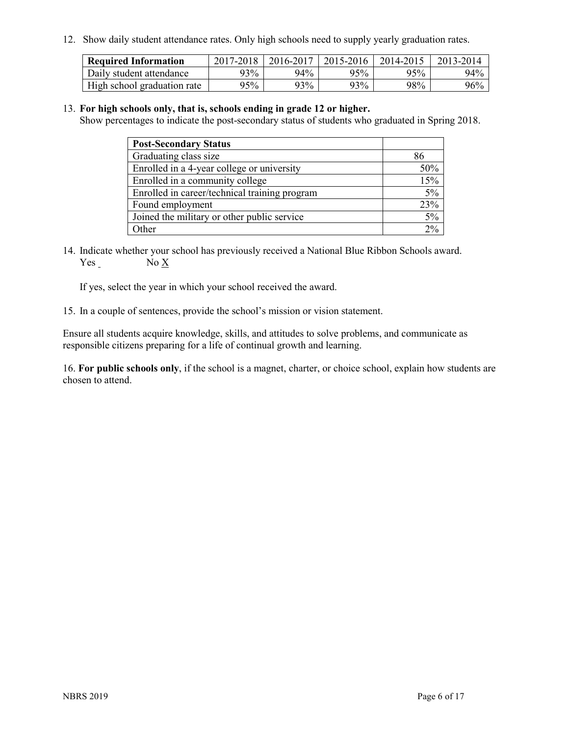12. Show daily student attendance rates. Only high schools need to supply yearly graduation rates.

| <b>Required Information</b> | 2017-2018 | 2016-2017 | 2015-2016 | 2014-2015 | 2013-2014 |
|-----------------------------|-----------|-----------|-----------|-----------|-----------|
| Daily student attendance    | 93%       | 94%       | 95%       | 95%       | 94%       |
| High school graduation rate | 95%       | 93%       | 93%       | 98%       | 96%       |

#### 13. **For high schools only, that is, schools ending in grade 12 or higher.**

Show percentages to indicate the post-secondary status of students who graduated in Spring 2018.

| <b>Post-Secondary Status</b>                  |      |
|-----------------------------------------------|------|
| Graduating class size                         |      |
| Enrolled in a 4-year college or university    | 50%  |
| Enrolled in a community college               | 15%  |
| Enrolled in career/technical training program | 5%   |
| Found employment                              | 23%  |
| Joined the military or other public service   | 5%   |
| Other                                         | 20/2 |

14. Indicate whether your school has previously received a National Blue Ribbon Schools award. Yes No X

If yes, select the year in which your school received the award.

15. In a couple of sentences, provide the school's mission or vision statement.

Ensure all students acquire knowledge, skills, and attitudes to solve problems, and communicate as responsible citizens preparing for a life of continual growth and learning.

16. **For public schools only**, if the school is a magnet, charter, or choice school, explain how students are chosen to attend.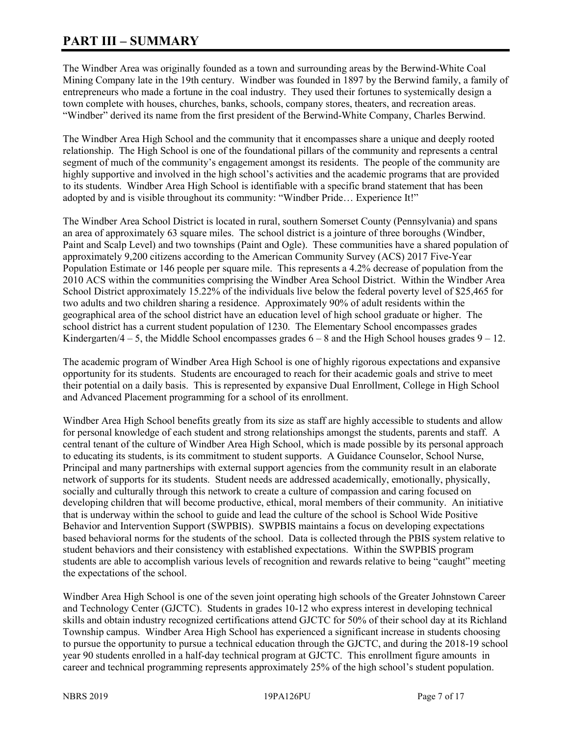# **PART III – SUMMARY**

The Windber Area was originally founded as a town and surrounding areas by the Berwind-White Coal Mining Company late in the 19th century. Windber was founded in 1897 by the Berwind family, a family of entrepreneurs who made a fortune in the coal industry. They used their fortunes to systemically design a town complete with houses, churches, banks, schools, company stores, theaters, and recreation areas. "Windber" derived its name from the first president of the Berwind-White Company, Charles Berwind.

The Windber Area High School and the community that it encompasses share a unique and deeply rooted relationship. The High School is one of the foundational pillars of the community and represents a central segment of much of the community's engagement amongst its residents. The people of the community are highly supportive and involved in the high school's activities and the academic programs that are provided to its students. Windber Area High School is identifiable with a specific brand statement that has been adopted by and is visible throughout its community: "Windber Pride… Experience It!"

The Windber Area School District is located in rural, southern Somerset County (Pennsylvania) and spans an area of approximately 63 square miles. The school district is a jointure of three boroughs (Windber, Paint and Scalp Level) and two townships (Paint and Ogle). These communities have a shared population of approximately 9,200 citizens according to the American Community Survey (ACS) 2017 Five-Year Population Estimate or 146 people per square mile. This represents a 4.2% decrease of population from the 2010 ACS within the communities comprising the Windber Area School District. Within the Windber Area School District approximately 15.22% of the individuals live below the federal poverty level of \$25,465 for two adults and two children sharing a residence. Approximately 90% of adult residents within the geographical area of the school district have an education level of high school graduate or higher. The school district has a current student population of 1230. The Elementary School encompasses grades Kindergarten/4 – 5, the Middle School encompasses grades  $6 - 8$  and the High School houses grades  $9 - 12$ .

The academic program of Windber Area High School is one of highly rigorous expectations and expansive opportunity for its students. Students are encouraged to reach for their academic goals and strive to meet their potential on a daily basis. This is represented by expansive Dual Enrollment, College in High School and Advanced Placement programming for a school of its enrollment.

Windber Area High School benefits greatly from its size as staff are highly accessible to students and allow for personal knowledge of each student and strong relationships amongst the students, parents and staff. A central tenant of the culture of Windber Area High School, which is made possible by its personal approach to educating its students, is its commitment to student supports. A Guidance Counselor, School Nurse, Principal and many partnerships with external support agencies from the community result in an elaborate network of supports for its students. Student needs are addressed academically, emotionally, physically, socially and culturally through this network to create a culture of compassion and caring focused on developing children that will become productive, ethical, moral members of their community. An initiative that is underway within the school to guide and lead the culture of the school is School Wide Positive Behavior and Intervention Support (SWPBIS). SWPBIS maintains a focus on developing expectations based behavioral norms for the students of the school. Data is collected through the PBIS system relative to student behaviors and their consistency with established expectations. Within the SWPBIS program students are able to accomplish various levels of recognition and rewards relative to being "caught" meeting the expectations of the school.

Windber Area High School is one of the seven joint operating high schools of the Greater Johnstown Career and Technology Center (GJCTC). Students in grades 10-12 who express interest in developing technical skills and obtain industry recognized certifications attend GJCTC for 50% of their school day at its Richland Township campus. Windber Area High School has experienced a significant increase in students choosing to pursue the opportunity to pursue a technical education through the GJCTC, and during the 2018-19 school year 90 students enrolled in a half-day technical program at GJCTC. This enrollment figure amounts in career and technical programming represents approximately 25% of the high school's student population.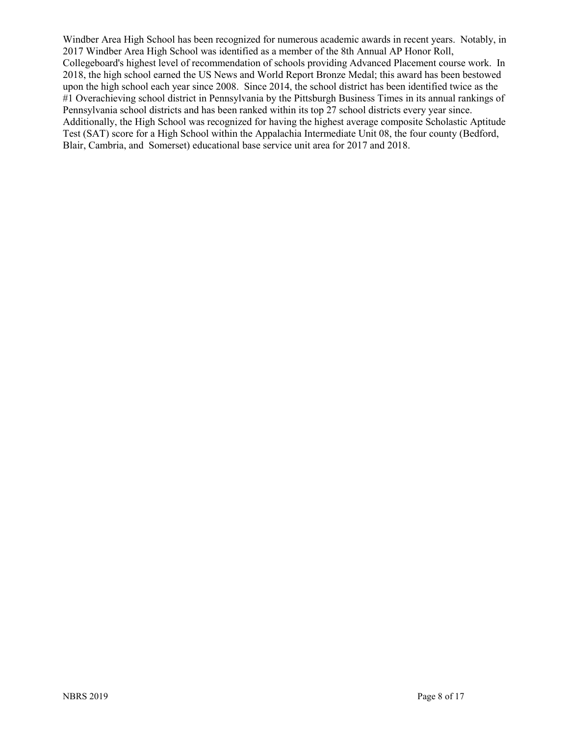Windber Area High School has been recognized for numerous academic awards in recent years. Notably, in 2017 Windber Area High School was identified as a member of the 8th Annual AP Honor Roll, Collegeboard's highest level of recommendation of schools providing Advanced Placement course work. In 2018, the high school earned the US News and World Report Bronze Medal; this award has been bestowed upon the high school each year since 2008. Since 2014, the school district has been identified twice as the #1 Overachieving school district in Pennsylvania by the Pittsburgh Business Times in its annual rankings of Pennsylvania school districts and has been ranked within its top 27 school districts every year since. Additionally, the High School was recognized for having the highest average composite Scholastic Aptitude Test (SAT) score for a High School within the Appalachia Intermediate Unit 08, the four county (Bedford, Blair, Cambria, and Somerset) educational base service unit area for 2017 and 2018.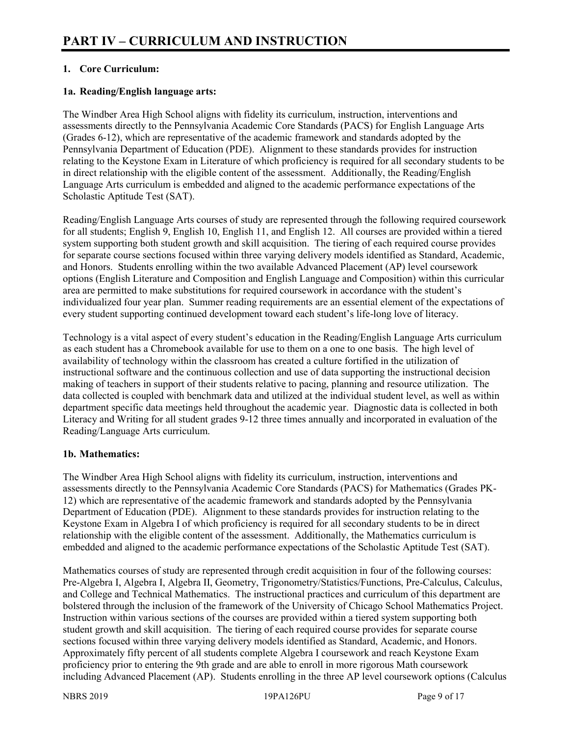## **1. Core Curriculum:**

#### **1a. Reading/English language arts:**

The Windber Area High School aligns with fidelity its curriculum, instruction, interventions and assessments directly to the Pennsylvania Academic Core Standards (PACS) for English Language Arts (Grades 6-12), which are representative of the academic framework and standards adopted by the Pennsylvania Department of Education (PDE). Alignment to these standards provides for instruction relating to the Keystone Exam in Literature of which proficiency is required for all secondary students to be in direct relationship with the eligible content of the assessment. Additionally, the Reading/English Language Arts curriculum is embedded and aligned to the academic performance expectations of the Scholastic Aptitude Test (SAT).

Reading/English Language Arts courses of study are represented through the following required coursework for all students; English 9, English 10, English 11, and English 12. All courses are provided within a tiered system supporting both student growth and skill acquisition. The tiering of each required course provides for separate course sections focused within three varying delivery models identified as Standard, Academic, and Honors. Students enrolling within the two available Advanced Placement (AP) level coursework options (English Literature and Composition and English Language and Composition) within this curricular area are permitted to make substitutions for required coursework in accordance with the student's individualized four year plan. Summer reading requirements are an essential element of the expectations of every student supporting continued development toward each student's life-long love of literacy.

Technology is a vital aspect of every student's education in the Reading/English Language Arts curriculum as each student has a Chromebook available for use to them on a one to one basis. The high level of availability of technology within the classroom has created a culture fortified in the utilization of instructional software and the continuous collection and use of data supporting the instructional decision making of teachers in support of their students relative to pacing, planning and resource utilization. The data collected is coupled with benchmark data and utilized at the individual student level, as well as within department specific data meetings held throughout the academic year. Diagnostic data is collected in both Literacy and Writing for all student grades 9-12 three times annually and incorporated in evaluation of the Reading/Language Arts curriculum.

#### **1b. Mathematics:**

The Windber Area High School aligns with fidelity its curriculum, instruction, interventions and assessments directly to the Pennsylvania Academic Core Standards (PACS) for Mathematics (Grades PK-12) which are representative of the academic framework and standards adopted by the Pennsylvania Department of Education (PDE). Alignment to these standards provides for instruction relating to the Keystone Exam in Algebra I of which proficiency is required for all secondary students to be in direct relationship with the eligible content of the assessment. Additionally, the Mathematics curriculum is embedded and aligned to the academic performance expectations of the Scholastic Aptitude Test (SAT).

Mathematics courses of study are represented through credit acquisition in four of the following courses: Pre-Algebra I, Algebra I, Algebra II, Geometry, Trigonometry/Statistics/Functions, Pre-Calculus, Calculus, and College and Technical Mathematics. The instructional practices and curriculum of this department are bolstered through the inclusion of the framework of the University of Chicago School Mathematics Project. Instruction within various sections of the courses are provided within a tiered system supporting both student growth and skill acquisition. The tiering of each required course provides for separate course sections focused within three varying delivery models identified as Standard, Academic, and Honors. Approximately fifty percent of all students complete Algebra I coursework and reach Keystone Exam proficiency prior to entering the 9th grade and are able to enroll in more rigorous Math coursework including Advanced Placement (AP). Students enrolling in the three AP level coursework options (Calculus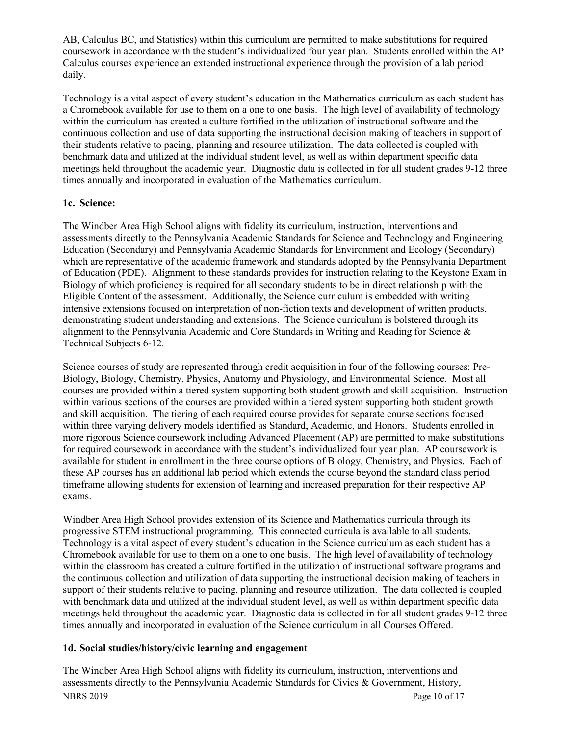AB, Calculus BC, and Statistics) within this curriculum are permitted to make substitutions for required coursework in accordance with the student's individualized four year plan. Students enrolled within the AP Calculus courses experience an extended instructional experience through the provision of a lab period daily.

Technology is a vital aspect of every student's education in the Mathematics curriculum as each student has a Chromebook available for use to them on a one to one basis. The high level of availability of technology within the curriculum has created a culture fortified in the utilization of instructional software and the continuous collection and use of data supporting the instructional decision making of teachers in support of their students relative to pacing, planning and resource utilization. The data collected is coupled with benchmark data and utilized at the individual student level, as well as within department specific data meetings held throughout the academic year. Diagnostic data is collected in for all student grades 9-12 three times annually and incorporated in evaluation of the Mathematics curriculum.

#### **1c. Science:**

The Windber Area High School aligns with fidelity its curriculum, instruction, interventions and assessments directly to the Pennsylvania Academic Standards for Science and Technology and Engineering Education (Secondary) and Pennsylvania Academic Standards for Environment and Ecology (Secondary) which are representative of the academic framework and standards adopted by the Pennsylvania Department of Education (PDE). Alignment to these standards provides for instruction relating to the Keystone Exam in Biology of which proficiency is required for all secondary students to be in direct relationship with the Eligible Content of the assessment. Additionally, the Science curriculum is embedded with writing intensive extensions focused on interpretation of non-fiction texts and development of written products, demonstrating student understanding and extensions. The Science curriculum is bolstered through its alignment to the Pennsylvania Academic and Core Standards in Writing and Reading for Science & Technical Subjects 6-12.

Science courses of study are represented through credit acquisition in four of the following courses: Pre-Biology, Biology, Chemistry, Physics, Anatomy and Physiology, and Environmental Science. Most all courses are provided within a tiered system supporting both student growth and skill acquisition. Instruction within various sections of the courses are provided within a tiered system supporting both student growth and skill acquisition. The tiering of each required course provides for separate course sections focused within three varying delivery models identified as Standard, Academic, and Honors. Students enrolled in more rigorous Science coursework including Advanced Placement (AP) are permitted to make substitutions for required coursework in accordance with the student's individualized four year plan. AP coursework is available for student in enrollment in the three course options of Biology, Chemistry, and Physics. Each of these AP courses has an additional lab period which extends the course beyond the standard class period timeframe allowing students for extension of learning and increased preparation for their respective AP exams.

Windber Area High School provides extension of its Science and Mathematics curricula through its progressive STEM instructional programming. This connected curricula is available to all students. Technology is a vital aspect of every student's education in the Science curriculum as each student has a Chromebook available for use to them on a one to one basis. The high level of availability of technology within the classroom has created a culture fortified in the utilization of instructional software programs and the continuous collection and utilization of data supporting the instructional decision making of teachers in support of their students relative to pacing, planning and resource utilization. The data collected is coupled with benchmark data and utilized at the individual student level, as well as within department specific data meetings held throughout the academic year. Diagnostic data is collected in for all student grades 9-12 three times annually and incorporated in evaluation of the Science curriculum in all Courses Offered.

## **1d. Social studies/history/civic learning and engagement**

NBRS 2019 Page 10 of 17 The Windber Area High School aligns with fidelity its curriculum, instruction, interventions and assessments directly to the Pennsylvania Academic Standards for Civics & Government, History,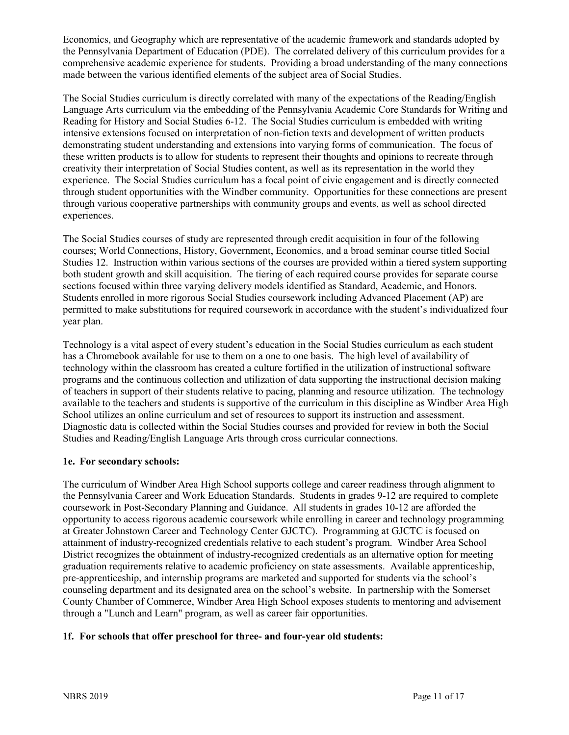Economics, and Geography which are representative of the academic framework and standards adopted by the Pennsylvania Department of Education (PDE). The correlated delivery of this curriculum provides for a comprehensive academic experience for students. Providing a broad understanding of the many connections made between the various identified elements of the subject area of Social Studies.

The Social Studies curriculum is directly correlated with many of the expectations of the Reading/English Language Arts curriculum via the embedding of the Pennsylvania Academic Core Standards for Writing and Reading for History and Social Studies 6-12. The Social Studies curriculum is embedded with writing intensive extensions focused on interpretation of non-fiction texts and development of written products demonstrating student understanding and extensions into varying forms of communication. The focus of these written products is to allow for students to represent their thoughts and opinions to recreate through creativity their interpretation of Social Studies content, as well as its representation in the world they experience. The Social Studies curriculum has a focal point of civic engagement and is directly connected through student opportunities with the Windber community. Opportunities for these connections are present through various cooperative partnerships with community groups and events, as well as school directed experiences.

The Social Studies courses of study are represented through credit acquisition in four of the following courses; World Connections, History, Government, Economics, and a broad seminar course titled Social Studies 12. Instruction within various sections of the courses are provided within a tiered system supporting both student growth and skill acquisition. The tiering of each required course provides for separate course sections focused within three varying delivery models identified as Standard, Academic, and Honors. Students enrolled in more rigorous Social Studies coursework including Advanced Placement (AP) are permitted to make substitutions for required coursework in accordance with the student's individualized four year plan.

Technology is a vital aspect of every student's education in the Social Studies curriculum as each student has a Chromebook available for use to them on a one to one basis. The high level of availability of technology within the classroom has created a culture fortified in the utilization of instructional software programs and the continuous collection and utilization of data supporting the instructional decision making of teachers in support of their students relative to pacing, planning and resource utilization. The technology available to the teachers and students is supportive of the curriculum in this discipline as Windber Area High School utilizes an online curriculum and set of resources to support its instruction and assessment. Diagnostic data is collected within the Social Studies courses and provided for review in both the Social Studies and Reading/English Language Arts through cross curricular connections.

## **1e. For secondary schools:**

The curriculum of Windber Area High School supports college and career readiness through alignment to the Pennsylvania Career and Work Education Standards. Students in grades 9-12 are required to complete coursework in Post-Secondary Planning and Guidance. All students in grades 10-12 are afforded the opportunity to access rigorous academic coursework while enrolling in career and technology programming at Greater Johnstown Career and Technology Center GJCTC). Programming at GJCTC is focused on attainment of industry-recognized credentials relative to each student's program. Windber Area School District recognizes the obtainment of industry-recognized credentials as an alternative option for meeting graduation requirements relative to academic proficiency on state assessments. Available apprenticeship, pre-apprenticeship, and internship programs are marketed and supported for students via the school's counseling department and its designated area on the school's website. In partnership with the Somerset County Chamber of Commerce, Windber Area High School exposes students to mentoring and advisement through a "Lunch and Learn" program, as well as career fair opportunities.

# **1f. For schools that offer preschool for three- and four-year old students:**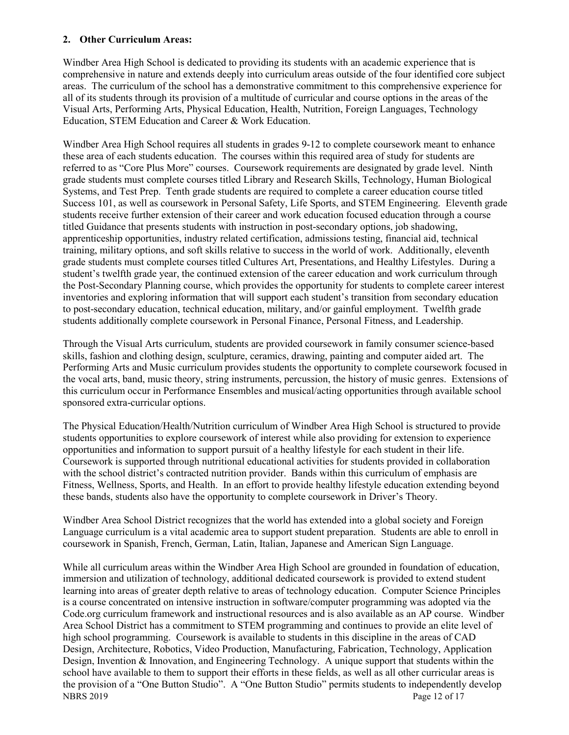#### **2. Other Curriculum Areas:**

Windber Area High School is dedicated to providing its students with an academic experience that is comprehensive in nature and extends deeply into curriculum areas outside of the four identified core subject areas. The curriculum of the school has a demonstrative commitment to this comprehensive experience for all of its students through its provision of a multitude of curricular and course options in the areas of the Visual Arts, Performing Arts, Physical Education, Health, Nutrition, Foreign Languages, Technology Education, STEM Education and Career & Work Education.

Windber Area High School requires all students in grades 9-12 to complete coursework meant to enhance these area of each students education. The courses within this required area of study for students are referred to as "Core Plus More" courses. Coursework requirements are designated by grade level. Ninth grade students must complete courses titled Library and Research Skills, Technology, Human Biological Systems, and Test Prep. Tenth grade students are required to complete a career education course titled Success 101, as well as coursework in Personal Safety, Life Sports, and STEM Engineering. Eleventh grade students receive further extension of their career and work education focused education through a course titled Guidance that presents students with instruction in post-secondary options, job shadowing, apprenticeship opportunities, industry related certification, admissions testing, financial aid, technical training, military options, and soft skills relative to success in the world of work. Additionally, eleventh grade students must complete courses titled Cultures Art, Presentations, and Healthy Lifestyles. During a student's twelfth grade year, the continued extension of the career education and work curriculum through the Post-Secondary Planning course, which provides the opportunity for students to complete career interest inventories and exploring information that will support each student's transition from secondary education to post-secondary education, technical education, military, and/or gainful employment. Twelfth grade students additionally complete coursework in Personal Finance, Personal Fitness, and Leadership.

Through the Visual Arts curriculum, students are provided coursework in family consumer science-based skills, fashion and clothing design, sculpture, ceramics, drawing, painting and computer aided art. The Performing Arts and Music curriculum provides students the opportunity to complete coursework focused in the vocal arts, band, music theory, string instruments, percussion, the history of music genres. Extensions of this curriculum occur in Performance Ensembles and musical/acting opportunities through available school sponsored extra-curricular options.

The Physical Education/Health/Nutrition curriculum of Windber Area High School is structured to provide students opportunities to explore coursework of interest while also providing for extension to experience opportunities and information to support pursuit of a healthy lifestyle for each student in their life. Coursework is supported through nutritional educational activities for students provided in collaboration with the school district's contracted nutrition provider. Bands within this curriculum of emphasis are Fitness, Wellness, Sports, and Health. In an effort to provide healthy lifestyle education extending beyond these bands, students also have the opportunity to complete coursework in Driver's Theory.

Windber Area School District recognizes that the world has extended into a global society and Foreign Language curriculum is a vital academic area to support student preparation. Students are able to enroll in coursework in Spanish, French, German, Latin, Italian, Japanese and American Sign Language.

NBRS 2019 Page 12 of 17 While all curriculum areas within the Windber Area High School are grounded in foundation of education, immersion and utilization of technology, additional dedicated coursework is provided to extend student learning into areas of greater depth relative to areas of technology education. Computer Science Principles is a course concentrated on intensive instruction in software/computer programming was adopted via the Code.org curriculum framework and instructional resources and is also available as an AP course. Windber Area School District has a commitment to STEM programming and continues to provide an elite level of high school programming. Coursework is available to students in this discipline in the areas of CAD Design, Architecture, Robotics, Video Production, Manufacturing, Fabrication, Technology, Application Design, Invention & Innovation, and Engineering Technology. A unique support that students within the school have available to them to support their efforts in these fields, as well as all other curricular areas is the provision of a "One Button Studio". A "One Button Studio" permits students to independently develop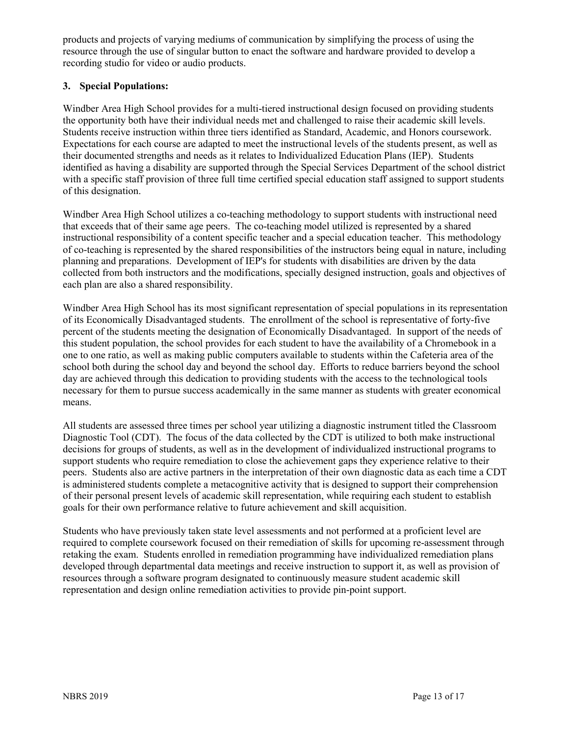products and projects of varying mediums of communication by simplifying the process of using the resource through the use of singular button to enact the software and hardware provided to develop a recording studio for video or audio products.

#### **3. Special Populations:**

Windber Area High School provides for a multi-tiered instructional design focused on providing students the opportunity both have their individual needs met and challenged to raise their academic skill levels. Students receive instruction within three tiers identified as Standard, Academic, and Honors coursework. Expectations for each course are adapted to meet the instructional levels of the students present, as well as their documented strengths and needs as it relates to Individualized Education Plans (IEP). Students identified as having a disability are supported through the Special Services Department of the school district with a specific staff provision of three full time certified special education staff assigned to support students of this designation.

Windber Area High School utilizes a co-teaching methodology to support students with instructional need that exceeds that of their same age peers. The co-teaching model utilized is represented by a shared instructional responsibility of a content specific teacher and a special education teacher. This methodology of co-teaching is represented by the shared responsibilities of the instructors being equal in nature, including planning and preparations. Development of IEP's for students with disabilities are driven by the data collected from both instructors and the modifications, specially designed instruction, goals and objectives of each plan are also a shared responsibility.

Windber Area High School has its most significant representation of special populations in its representation of its Economically Disadvantaged students. The enrollment of the school is representative of forty-five percent of the students meeting the designation of Economically Disadvantaged. In support of the needs of this student population, the school provides for each student to have the availability of a Chromebook in a one to one ratio, as well as making public computers available to students within the Cafeteria area of the school both during the school day and beyond the school day. Efforts to reduce barriers beyond the school day are achieved through this dedication to providing students with the access to the technological tools necessary for them to pursue success academically in the same manner as students with greater economical means.

All students are assessed three times per school year utilizing a diagnostic instrument titled the Classroom Diagnostic Tool (CDT). The focus of the data collected by the CDT is utilized to both make instructional decisions for groups of students, as well as in the development of individualized instructional programs to support students who require remediation to close the achievement gaps they experience relative to their peers. Students also are active partners in the interpretation of their own diagnostic data as each time a CDT is administered students complete a metacognitive activity that is designed to support their comprehension of their personal present levels of academic skill representation, while requiring each student to establish goals for their own performance relative to future achievement and skill acquisition.

Students who have previously taken state level assessments and not performed at a proficient level are required to complete coursework focused on their remediation of skills for upcoming re-assessment through retaking the exam. Students enrolled in remediation programming have individualized remediation plans developed through departmental data meetings and receive instruction to support it, as well as provision of resources through a software program designated to continuously measure student academic skill representation and design online remediation activities to provide pin-point support.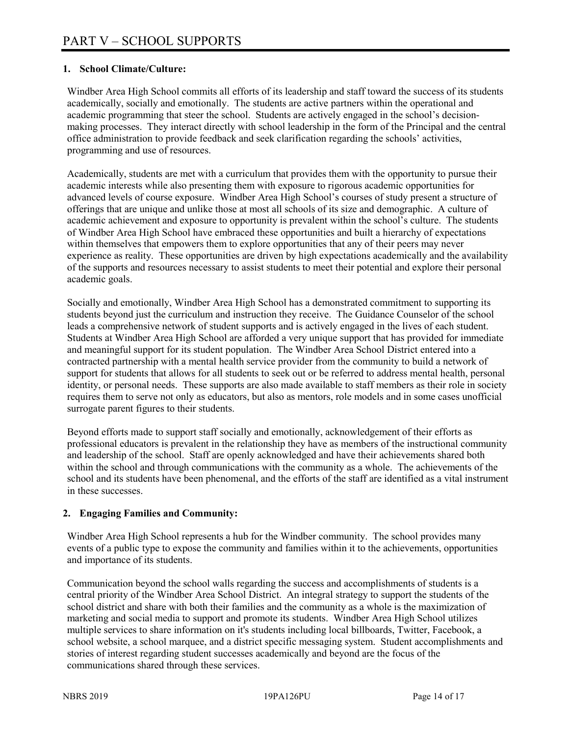#### **1. School Climate/Culture:**

Windber Area High School commits all efforts of its leadership and staff toward the success of its students academically, socially and emotionally. The students are active partners within the operational and academic programming that steer the school. Students are actively engaged in the school's decisionmaking processes. They interact directly with school leadership in the form of the Principal and the central office administration to provide feedback and seek clarification regarding the schools' activities, programming and use of resources.

Academically, students are met with a curriculum that provides them with the opportunity to pursue their academic interests while also presenting them with exposure to rigorous academic opportunities for advanced levels of course exposure. Windber Area High School's courses of study present a structure of offerings that are unique and unlike those at most all schools of its size and demographic. A culture of academic achievement and exposure to opportunity is prevalent within the school's culture. The students of Windber Area High School have embraced these opportunities and built a hierarchy of expectations within themselves that empowers them to explore opportunities that any of their peers may never experience as reality. These opportunities are driven by high expectations academically and the availability of the supports and resources necessary to assist students to meet their potential and explore their personal academic goals.

Socially and emotionally, Windber Area High School has a demonstrated commitment to supporting its students beyond just the curriculum and instruction they receive. The Guidance Counselor of the school leads a comprehensive network of student supports and is actively engaged in the lives of each student. Students at Windber Area High School are afforded a very unique support that has provided for immediate and meaningful support for its student population. The Windber Area School District entered into a contracted partnership with a mental health service provider from the community to build a network of support for students that allows for all students to seek out or be referred to address mental health, personal identity, or personal needs. These supports are also made available to staff members as their role in society requires them to serve not only as educators, but also as mentors, role models and in some cases unofficial surrogate parent figures to their students.

Beyond efforts made to support staff socially and emotionally, acknowledgement of their efforts as professional educators is prevalent in the relationship they have as members of the instructional community and leadership of the school. Staff are openly acknowledged and have their achievements shared both within the school and through communications with the community as a whole. The achievements of the school and its students have been phenomenal, and the efforts of the staff are identified as a vital instrument in these successes.

## **2. Engaging Families and Community:**

Windber Area High School represents a hub for the Windber community. The school provides many events of a public type to expose the community and families within it to the achievements, opportunities and importance of its students.

Communication beyond the school walls regarding the success and accomplishments of students is a central priority of the Windber Area School District. An integral strategy to support the students of the school district and share with both their families and the community as a whole is the maximization of marketing and social media to support and promote its students. Windber Area High School utilizes multiple services to share information on it's students including local billboards, Twitter, Facebook, a school website, a school marquee, and a district specific messaging system. Student accomplishments and stories of interest regarding student successes academically and beyond are the focus of the communications shared through these services.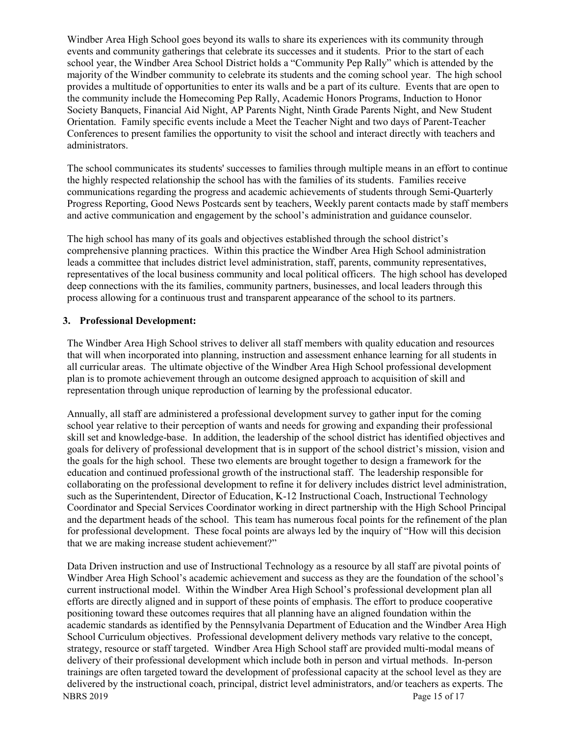Windber Area High School goes beyond its walls to share its experiences with its community through events and community gatherings that celebrate its successes and it students. Prior to the start of each school year, the Windber Area School District holds a "Community Pep Rally" which is attended by the majority of the Windber community to celebrate its students and the coming school year. The high school provides a multitude of opportunities to enter its walls and be a part of its culture. Events that are open to the community include the Homecoming Pep Rally, Academic Honors Programs, Induction to Honor Society Banquets, Financial Aid Night, AP Parents Night, Ninth Grade Parents Night, and New Student Orientation. Family specific events include a Meet the Teacher Night and two days of Parent-Teacher Conferences to present families the opportunity to visit the school and interact directly with teachers and administrators.

The school communicates its students' successes to families through multiple means in an effort to continue the highly respected relationship the school has with the families of its students. Families receive communications regarding the progress and academic achievements of students through Semi-Quarterly Progress Reporting, Good News Postcards sent by teachers, Weekly parent contacts made by staff members and active communication and engagement by the school's administration and guidance counselor.

The high school has many of its goals and objectives established through the school district's comprehensive planning practices. Within this practice the Windber Area High School administration leads a committee that includes district level administration, staff, parents, community representatives, representatives of the local business community and local political officers. The high school has developed deep connections with the its families, community partners, businesses, and local leaders through this process allowing for a continuous trust and transparent appearance of the school to its partners.

#### **3. Professional Development:**

The Windber Area High School strives to deliver all staff members with quality education and resources that will when incorporated into planning, instruction and assessment enhance learning for all students in all curricular areas. The ultimate objective of the Windber Area High School professional development plan is to promote achievement through an outcome designed approach to acquisition of skill and representation through unique reproduction of learning by the professional educator.

Annually, all staff are administered a professional development survey to gather input for the coming school year relative to their perception of wants and needs for growing and expanding their professional skill set and knowledge-base. In addition, the leadership of the school district has identified objectives and goals for delivery of professional development that is in support of the school district's mission, vision and the goals for the high school. These two elements are brought together to design a framework for the education and continued professional growth of the instructional staff. The leadership responsible for collaborating on the professional development to refine it for delivery includes district level administration, such as the Superintendent, Director of Education, K-12 Instructional Coach, Instructional Technology Coordinator and Special Services Coordinator working in direct partnership with the High School Principal and the department heads of the school. This team has numerous focal points for the refinement of the plan for professional development. These focal points are always led by the inquiry of "How will this decision that we are making increase student achievement?"

NBRS 2019 Page 15 of 17 Data Driven instruction and use of Instructional Technology as a resource by all staff are pivotal points of Windber Area High School's academic achievement and success as they are the foundation of the school's current instructional model. Within the Windber Area High School's professional development plan all efforts are directly aligned and in support of these points of emphasis. The effort to produce cooperative positioning toward these outcomes requires that all planning have an aligned foundation within the academic standards as identified by the Pennsylvania Department of Education and the Windber Area High School Curriculum objectives. Professional development delivery methods vary relative to the concept, strategy, resource or staff targeted. Windber Area High School staff are provided multi-modal means of delivery of their professional development which include both in person and virtual methods. In-person trainings are often targeted toward the development of professional capacity at the school level as they are delivered by the instructional coach, principal, district level administrators, and/or teachers as experts. The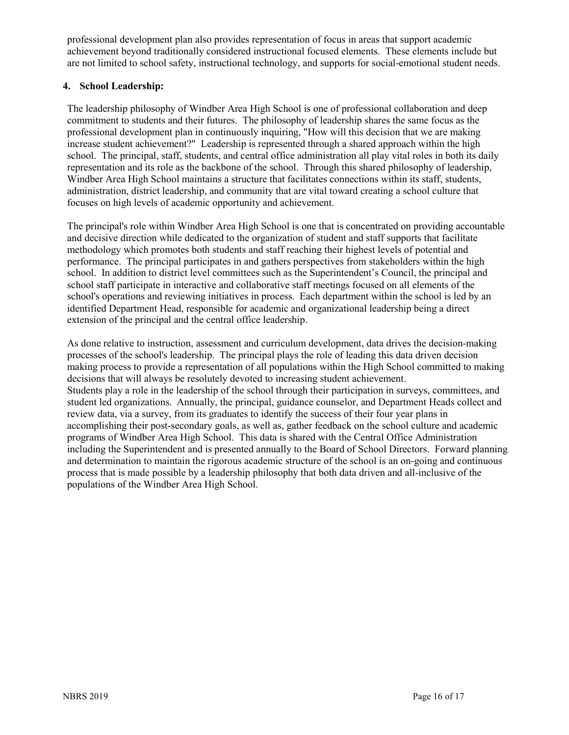professional development plan also provides representation of focus in areas that support academic achievement beyond traditionally considered instructional focused elements. These elements include but are not limited to school safety, instructional technology, and supports for social-emotional student needs.

#### **4. School Leadership:**

The leadership philosophy of Windber Area High School is one of professional collaboration and deep commitment to students and their futures. The philosophy of leadership shares the same focus as the professional development plan in continuously inquiring, "How will this decision that we are making increase student achievement?" Leadership is represented through a shared approach within the high school. The principal, staff, students, and central office administration all play vital roles in both its daily representation and its role as the backbone of the school. Through this shared philosophy of leadership, Windber Area High School maintains a structure that facilitates connections within its staff, students, administration, district leadership, and community that are vital toward creating a school culture that focuses on high levels of academic opportunity and achievement.

The principal's role within Windber Area High School is one that is concentrated on providing accountable and decisive direction while dedicated to the organization of student and staff supports that facilitate methodology which promotes both students and staff reaching their highest levels of potential and performance. The principal participates in and gathers perspectives from stakeholders within the high school. In addition to district level committees such as the Superintendent's Council, the principal and school staff participate in interactive and collaborative staff meetings focused on all elements of the school's operations and reviewing initiatives in process. Each department within the school is led by an identified Department Head, responsible for academic and organizational leadership being a direct extension of the principal and the central office leadership.

As done relative to instruction, assessment and curriculum development, data drives the decision-making processes of the school's leadership. The principal plays the role of leading this data driven decision making process to provide a representation of all populations within the High School committed to making decisions that will always be resolutely devoted to increasing student achievement. Students play a role in the leadership of the school through their participation in surveys, committees, and student led organizations. Annually, the principal, guidance counselor, and Department Heads collect and review data, via a survey, from its graduates to identify the success of their four year plans in accomplishing their post-secondary goals, as well as, gather feedback on the school culture and academic programs of Windber Area High School. This data is shared with the Central Office Administration including the Superintendent and is presented annually to the Board of School Directors. Forward planning and determination to maintain the rigorous academic structure of the school is an on-going and continuous process that is made possible by a leadership philosophy that both data driven and all-inclusive of the populations of the Windber Area High School.